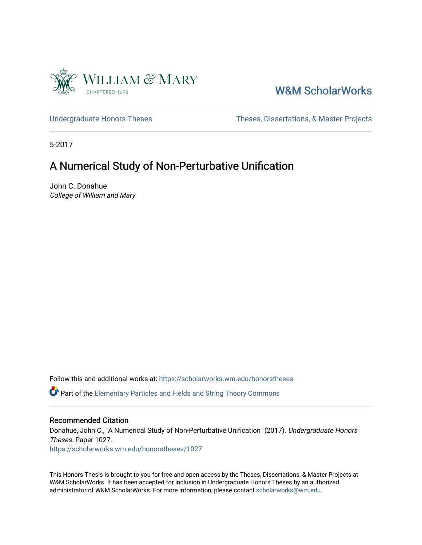

## [W&M ScholarWorks](https://scholarworks.wm.edu/)

[Undergraduate Honors Theses](https://scholarworks.wm.edu/honorstheses) Theses Theses, Dissertations, & Master Projects

5-2017

## A Numerical Study of Non-Perturbative Unification

John C. Donahue College of William and Mary

Follow this and additional works at: [https://scholarworks.wm.edu/honorstheses](https://scholarworks.wm.edu/honorstheses?utm_source=scholarworks.wm.edu%2Fhonorstheses%2F1027&utm_medium=PDF&utm_campaign=PDFCoverPages) 

Part of the [Elementary Particles and Fields and String Theory Commons](http://network.bepress.com/hgg/discipline/199?utm_source=scholarworks.wm.edu%2Fhonorstheses%2F1027&utm_medium=PDF&utm_campaign=PDFCoverPages)

#### Recommended Citation

Donahue, John C., "A Numerical Study of Non-Perturbative Unification" (2017). Undergraduate Honors Theses. Paper 1027.

[https://scholarworks.wm.edu/honorstheses/1027](https://scholarworks.wm.edu/honorstheses/1027?utm_source=scholarworks.wm.edu%2Fhonorstheses%2F1027&utm_medium=PDF&utm_campaign=PDFCoverPages)

This Honors Thesis is brought to you for free and open access by the Theses, Dissertations, & Master Projects at W&M ScholarWorks. It has been accepted for inclusion in Undergraduate Honors Theses by an authorized administrator of W&M ScholarWorks. For more information, please contact [scholarworks@wm.edu.](mailto:scholarworks@wm.edu)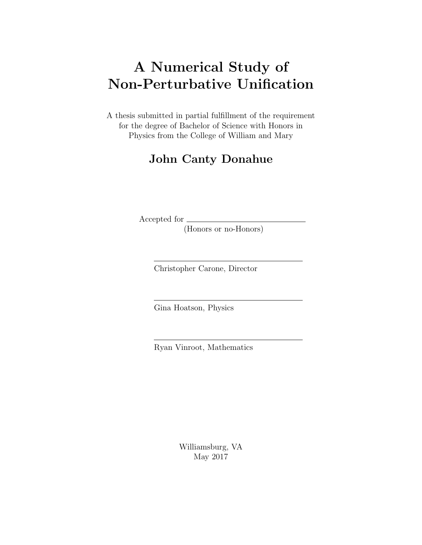# A Numerical Study of Non-Perturbative Unification

A thesis submitted in partial fulfillment of the requirement for the degree of Bachelor of Science with Honors in Physics from the College of William and Mary

# John Canty Donahue

Accepted for

(Honors or no-Honors)

Christopher Carone, Director

Gina Hoatson, Physics

Ryan Vinroot, Mathematics

Williamsburg, VA May 2017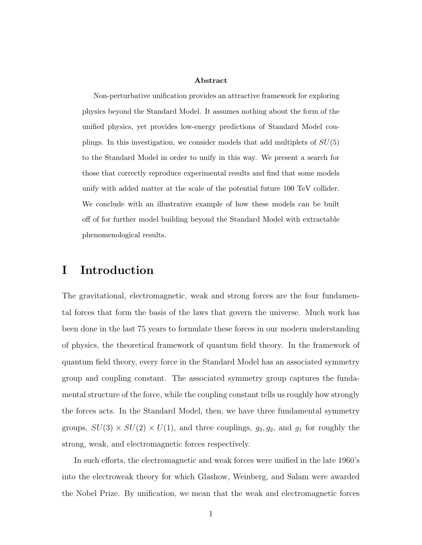#### Abstract

Non-perturbative unification provides an attractive framework for exploring physics beyond the Standard Model. It assumes nothing about the form of the unified physics, yet provides low-energy predictions of Standard Model couplings. In this investigation, we consider models that add multiplets of  $SU(5)$ to the Standard Model in order to unify in this way. We present a search for those that correctly reproduce experimental results and find that some models unify with added matter at the scale of the potential future 100 TeV collider. We conclude with an illustrative example of how these models can be built off of for further model building beyond the Standard Model with extractable phenomenological results.

#### I Introduction

The gravitational, electromagnetic, weak and strong forces are the four fundamental forces that form the basis of the laws that govern the universe. Much work has been done in the last 75 years to formulate these forces in our modern understanding of physics, the theoretical framework of quantum field theory. In the framework of quantum field theory, every force in the Standard Model has an associated symmetry group and coupling constant. The associated symmetry group captures the fundamental structure of the force, while the coupling constant tells us roughly how strongly the forces acts. In the Standard Model, then, we have three fundamental symmetry groups,  $SU(3) \times SU(2) \times U(1)$ , and three couplings,  $g_3, g_2$ , and  $g_1$  for roughly the strong, weak, and electromagnetic forces respectively.

In such efforts, the electromagnetic and weak forces were unified in the late 1960's into the electroweak theory for which Glashow, Weinberg, and Salam were awarded the Nobel Prize. By unification, we mean that the weak and electromagnetic forces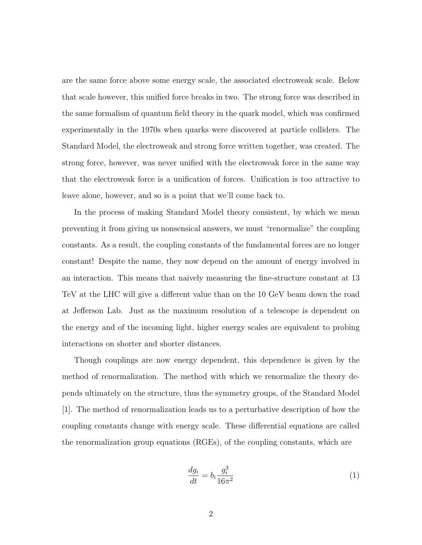are the same force above some energy scale, the associated electroweak scale. Below that scale however, this unified force breaks in two. The strong force was described in the same formalism of quantum field theory in the quark model, which was confirmed experimentally in the 1970s when quarks were discovered at particle colliders. The Standard Model, the electroweak and strong force written together, was created. The strong force, however, was never unified with the electroweak force in the same way that the electroweak force is a unification of forces. Unification is too attractive to leave alone, however, and so is a point that we'll come back to.

In the process of making Standard Model theory consistent, by which we mean preventing it from giving us nonsensical answers, we must "renormalize" the coupling constants. As a result, the coupling constants of the fundamental forces are no longer constant! Despite the name, they now depend on the amount of energy involved in an interaction. This means that naively measuring the fine-structure constant at 13 TeV at the LHC will give a different value than on the 10 GeV beam down the road at Jefferson Lab. Just as the maximum resolution of a telescope is dependent on the energy and of the incoming light, higher energy scales are equivalent to probing interactions on shorter and shorter distances.

Though couplings are now energy dependent, this dependence is given by the method of renormalization. The method with which we renormalize the theory depends ultimately on the structure, thus the symmetry groups, of the Standard Model [1]. The method of renormalization leads us to a perturbative description of how the coupling constants change with energy scale. These differential equations are called the renormalization group equations (RGEs), of the coupling constants, which are

$$
\frac{dg_i}{dt} = b_i \frac{g_i^3}{16\pi^2} \tag{1}
$$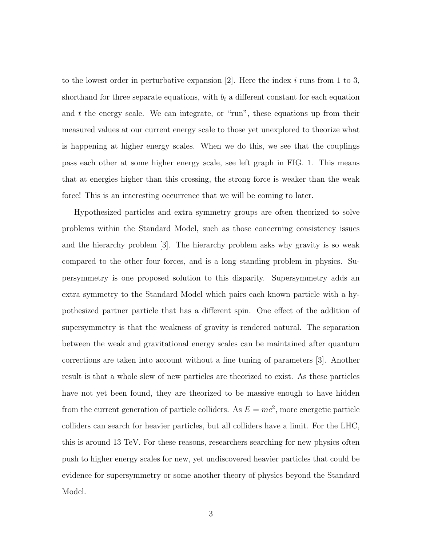to the lowest order in perturbative expansion  $[2]$ . Here the index i runs from 1 to 3, shorthand for three separate equations, with  $b_i$  a different constant for each equation and  $t$  the energy scale. We can integrate, or "run", these equations up from their measured values at our current energy scale to those yet unexplored to theorize what is happening at higher energy scales. When we do this, we see that the couplings pass each other at some higher energy scale, see left graph in FIG. 1. This means that at energies higher than this crossing, the strong force is weaker than the weak force! This is an interesting occurrence that we will be coming to later.

Hypothesized particles and extra symmetry groups are often theorized to solve problems within the Standard Model, such as those concerning consistency issues and the hierarchy problem [3]. The hierarchy problem asks why gravity is so weak compared to the other four forces, and is a long standing problem in physics. Supersymmetry is one proposed solution to this disparity. Supersymmetry adds an extra symmetry to the Standard Model which pairs each known particle with a hypothesized partner particle that has a different spin. One effect of the addition of supersymmetry is that the weakness of gravity is rendered natural. The separation between the weak and gravitational energy scales can be maintained after quantum corrections are taken into account without a fine tuning of parameters [3]. Another result is that a whole slew of new particles are theorized to exist. As these particles have not yet been found, they are theorized to be massive enough to have hidden from the current generation of particle colliders. As  $E = mc^2$ , more energetic particle colliders can search for heavier particles, but all colliders have a limit. For the LHC, this is around 13 TeV. For these reasons, researchers searching for new physics often push to higher energy scales for new, yet undiscovered heavier particles that could be evidence for supersymmetry or some another theory of physics beyond the Standard Model.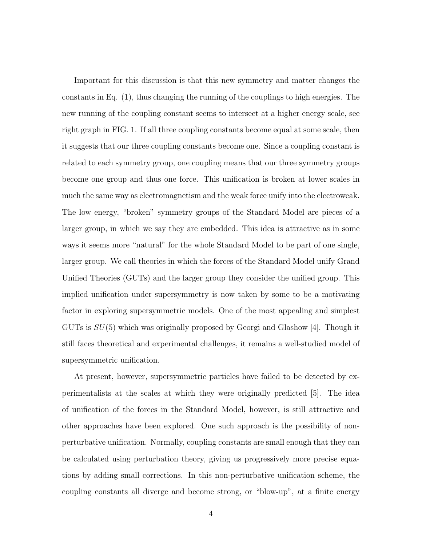Important for this discussion is that this new symmetry and matter changes the constants in Eq. (1), thus changing the running of the couplings to high energies. The new running of the coupling constant seems to intersect at a higher energy scale, see right graph in FIG. 1. If all three coupling constants become equal at some scale, then it suggests that our three coupling constants become one. Since a coupling constant is related to each symmetry group, one coupling means that our three symmetry groups become one group and thus one force. This unification is broken at lower scales in much the same way as electromagnetism and the weak force unify into the electroweak. The low energy, "broken" symmetry groups of the Standard Model are pieces of a larger group, in which we say they are embedded. This idea is attractive as in some ways it seems more "natural" for the whole Standard Model to be part of one single, larger group. We call theories in which the forces of the Standard Model unify Grand Unified Theories (GUTs) and the larger group they consider the unified group. This implied unification under supersymmetry is now taken by some to be a motivating factor in exploring supersymmetric models. One of the most appealing and simplest GUTs is  $SU(5)$  which was originally proposed by Georgi and Glashow [4]. Though it still faces theoretical and experimental challenges, it remains a well-studied model of supersymmetric unification.

At present, however, supersymmetric particles have failed to be detected by experimentalists at the scales at which they were originally predicted [5]. The idea of unification of the forces in the Standard Model, however, is still attractive and other approaches have been explored. One such approach is the possibility of nonperturbative unification. Normally, coupling constants are small enough that they can be calculated using perturbation theory, giving us progressively more precise equations by adding small corrections. In this non-perturbative unification scheme, the coupling constants all diverge and become strong, or "blow-up", at a finite energy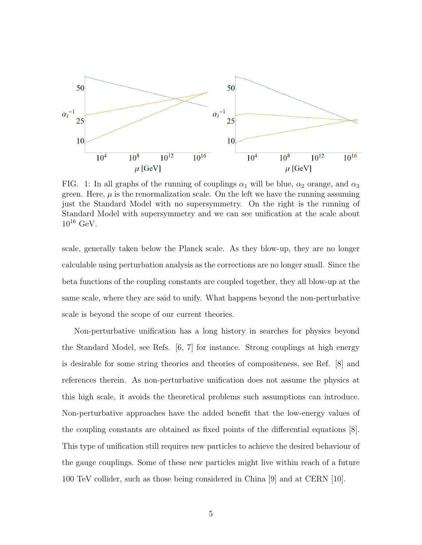

FIG. 1: In all graphs of the running of couplings  $\alpha_1$  will be blue,  $\alpha_2$  orange, and  $\alpha_3$ green. Here,  $\mu$  is the renormalization scale. On the left we have the running assuming just the Standard Model with no supersymmetry. On the right is the running of Standard Model with supersymmetry and we can see unification at the scale about  $10^{16}$  GeV.

scale, generally taken below the Planck scale. As they blow-up, they are no longer calculable using perturbation analysis as the corrections are no longer small. Since the beta functions of the coupling constants are coupled together, they all blow-up at the same scale, where they are said to unify. What happens beyond the non-perturbative scale is beyond the scope of our current theories.

Non-perturbative unification has a long history in searches for physics beyond the Standard Model, see Refs. [6, 7] for instance. Strong couplings at high energy is desirable for some string theories and theories of compositeness, see Ref. [8] and references therein. As non-perturbative unification does not assume the physics at this high scale, it avoids the theoretical problems such assumptions can introduce. Non-perturbative approaches have the added benefit that the low-energy values of the coupling constants are obtained as fixed points of the differential equations [8]. This type of unification still requires new particles to achieve the desired behaviour of the gauge couplings. Some of these new particles might live within reach of a future 100 TeV collider, such as those being considered in China [9] and at CERN [10].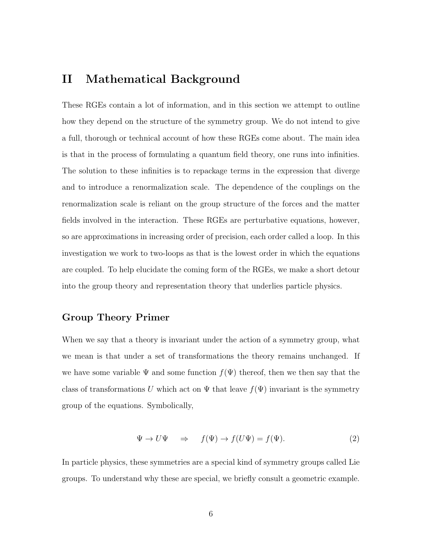### II Mathematical Background

These RGEs contain a lot of information, and in this section we attempt to outline how they depend on the structure of the symmetry group. We do not intend to give a full, thorough or technical account of how these RGEs come about. The main idea is that in the process of formulating a quantum field theory, one runs into infinities. The solution to these infinities is to repackage terms in the expression that diverge and to introduce a renormalization scale. The dependence of the couplings on the renormalization scale is reliant on the group structure of the forces and the matter fields involved in the interaction. These RGEs are perturbative equations, however, so are approximations in increasing order of precision, each order called a loop. In this investigation we work to two-loops as that is the lowest order in which the equations are coupled. To help elucidate the coming form of the RGEs, we make a short detour into the group theory and representation theory that underlies particle physics.

#### Group Theory Primer

When we say that a theory is invariant under the action of a symmetry group, what we mean is that under a set of transformations the theory remains unchanged. If we have some variable  $\Psi$  and some function  $f(\Psi)$  thereof, then we then say that the class of transformations U which act on  $\Psi$  that leave  $f(\Psi)$  invariant is the symmetry group of the equations. Symbolically,

$$
\Psi \to U\Psi \quad \Rightarrow \quad f(\Psi) \to f(U\Psi) = f(\Psi). \tag{2}
$$

In particle physics, these symmetries are a special kind of symmetry groups called Lie groups. To understand why these are special, we briefly consult a geometric example.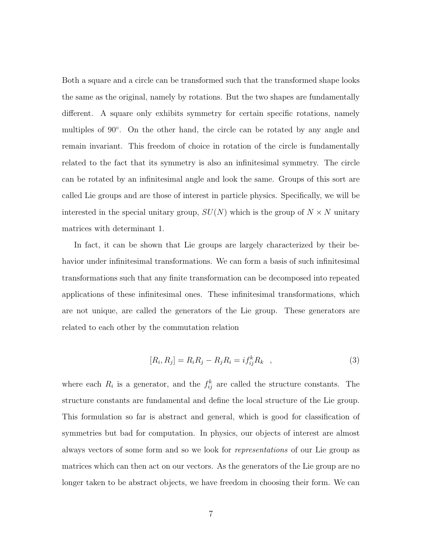Both a square and a circle can be transformed such that the transformed shape looks the same as the original, namely by rotations. But the two shapes are fundamentally different. A square only exhibits symmetry for certain specific rotations, namely multiples of 90◦ . On the other hand, the circle can be rotated by any angle and remain invariant. This freedom of choice in rotation of the circle is fundamentally related to the fact that its symmetry is also an infinitesimal symmetry. The circle can be rotated by an infinitesimal angle and look the same. Groups of this sort are called Lie groups and are those of interest in particle physics. Specifically, we will be interested in the special unitary group,  $SU(N)$  which is the group of  $N \times N$  unitary matrices with determinant 1.

In fact, it can be shown that Lie groups are largely characterized by their behavior under infinitesimal transformations. We can form a basis of such infinitesimal transformations such that any finite transformation can be decomposed into repeated applications of these infinitesimal ones. These infinitesimal transformations, which are not unique, are called the generators of the Lie group. These generators are related to each other by the commutation relation

$$
[R_i, R_j] = R_i R_j - R_j R_i = i f_{ij}^k R_k \quad , \tag{3}
$$

where each  $R_i$  is a generator, and the  $f_{ij}^k$  are called the structure constants. The structure constants are fundamental and define the local structure of the Lie group. This formulation so far is abstract and general, which is good for classification of symmetries but bad for computation. In physics, our objects of interest are almost always vectors of some form and so we look for representations of our Lie group as matrices which can then act on our vectors. As the generators of the Lie group are no longer taken to be abstract objects, we have freedom in choosing their form. We can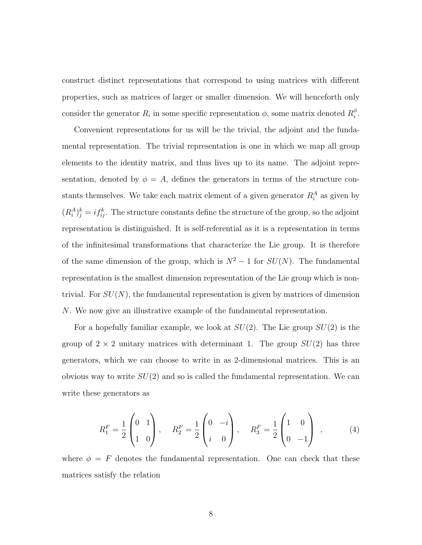construct distinct representations that correspond to using matrices with different properties, such as matrices of larger or smaller dimension. We will henceforth only consider the generator  $R_i$  in some specific representation  $\phi$ , some matrix denoted  $R_i^{\phi}$  $_{i}^{\phi}$  .

Convenient representations for us will be the trivial, the adjoint and the fundamental representation. The trivial representation is one in which we map all group elements to the identity matrix, and thus lives up to its name. The adjoint representation, denoted by  $\phi = A$ , defines the generators in terms of the structure constants themselves. We take each matrix element of a given generator  $R_i^A$  as given by  $(R_i^A)^k_j = i f_{ij}^k$ . The structure constants define the structure of the group, so the adjoint representation is distinguished. It is self-referential as it is a representation in terms of the infinitesimal transformations that characterize the Lie group. It is therefore of the same dimension of the group, which is  $N^2 - 1$  for  $SU(N)$ . The fundamental representation is the smallest dimension representation of the Lie group which is nontrivial. For  $SU(N)$ , the fundamental representation is given by matrices of dimension N. We now give an illustrative example of the fundamental representation.

For a hopefully familiar example, we look at  $SU(2)$ . The Lie group  $SU(2)$  is the group of  $2 \times 2$  unitary matrices with determinant 1. The group  $SU(2)$  has three generators, which we can choose to write in as 2-dimensional matrices. This is an obvious way to write  $SU(2)$  and so is called the fundamental representation. We can write these generators as

$$
R_1^F = \frac{1}{2} \begin{pmatrix} 0 & 1 \\ 1 & 0 \end{pmatrix}, \quad R_2^F = \frac{1}{2} \begin{pmatrix} 0 & -i \\ i & 0 \end{pmatrix}, \quad R_3^F = \frac{1}{2} \begin{pmatrix} 1 & 0 \\ 0 & -1 \end{pmatrix} , \quad (4)
$$

where  $\phi = F$  denotes the fundamental representation. One can check that these matrices satisfy the relation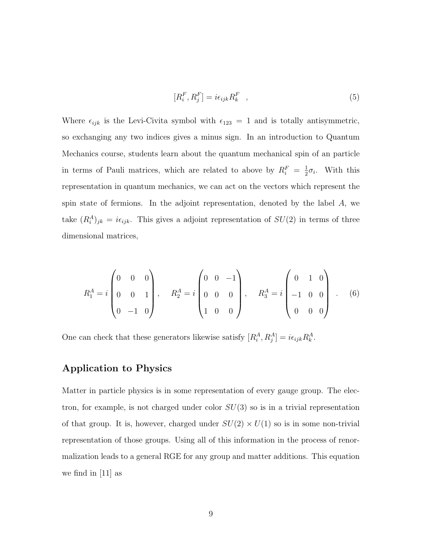$$
[R_i^F, R_j^F] = i\epsilon_{ijk} R_k^F \quad , \tag{5}
$$

Where  $\epsilon_{ijk}$  is the Levi-Civita symbol with  $\epsilon_{123} = 1$  and is totally antisymmetric, so exchanging any two indices gives a minus sign. In an introduction to Quantum Mechanics course, students learn about the quantum mechanical spin of an particle in terms of Pauli matrices, which are related to above by  $R_i^F = \frac{1}{2}$  $\frac{1}{2}\sigma_i$ . With this representation in quantum mechanics, we can act on the vectors which represent the spin state of fermions. In the adjoint representation, denoted by the label A, we take  $(R_i^A)_{jk} = i\epsilon_{ijk}$ . This gives a adjoint representation of  $SU(2)$  in terms of three dimensional matrices,

$$
R_1^A = i \begin{pmatrix} 0 & 0 & 0 \\ 0 & 0 & 1 \\ 0 & -1 & 0 \end{pmatrix}, \quad R_2^A = i \begin{pmatrix} 0 & 0 & -1 \\ 0 & 0 & 0 \\ 1 & 0 & 0 \end{pmatrix}, \quad R_3^A = i \begin{pmatrix} 0 & 1 & 0 \\ -1 & 0 & 0 \\ 0 & 0 & 0 \end{pmatrix} . \quad (6)
$$

One can check that these generators likewise satisfy  $[R_i^A, R_j^A] = i\epsilon_{ijk}R_k^A$ .

#### Application to Physics

Matter in particle physics is in some representation of every gauge group. The electron, for example, is not charged under color  $SU(3)$  so is in a trivial representation of that group. It is, however, charged under  $SU(2) \times U(1)$  so is in some non-trivial representation of those groups. Using all of this information in the process of renormalization leads to a general RGE for any group and matter additions. This equation we find in  $|11|$  as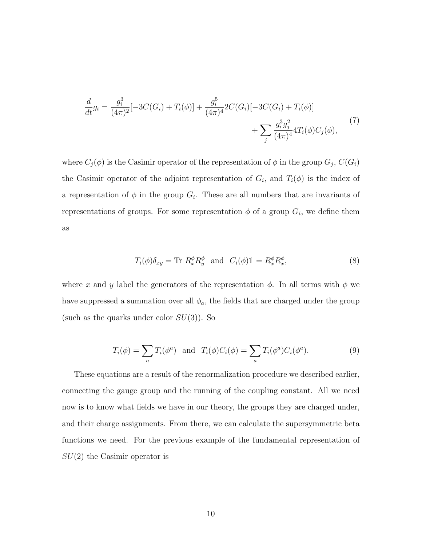$$
\frac{d}{dt}g_i = \frac{g_i^3}{(4\pi)^2}[-3C(G_i) + T_i(\phi)] + \frac{g_i^5}{(4\pi)^4}2C(G_i)[-3C(G_i) + T_i(\phi)] + \sum_j \frac{g_i^3 g_j^2}{(4\pi)^4}4T_i(\phi)C_j(\phi),
$$
\n(7)

where  $C_j(\phi)$  is the Casimir operator of the representation of  $\phi$  in the group  $G_j$ ,  $C(G_i)$ the Casimir operator of the adjoint representation of  $G_i$ , and  $T_i(\phi)$  is the index of a representation of  $\phi$  in the group  $G_i$ . These are all numbers that are invariants of representations of groups. For some representation  $\phi$  of a group  $G_i$ , we define them as

$$
T_i(\phi)\delta_{xy} = \text{Tr } R_x^{\phi} R_y^{\phi} \text{ and } C_i(\phi)\mathbb{1} = R_x^{\phi} R_x^{\phi}, \tag{8}
$$

where x and y label the generators of the representation  $\phi$ . In all terms with  $\phi$  we have suppressed a summation over all  $\phi_a$ , the fields that are charged under the group (such as the quarks under color  $SU(3)$ ). So

$$
T_i(\phi) = \sum_a T_i(\phi^a) \quad \text{and} \quad T_i(\phi)C_i(\phi) = \sum_a T_i(\phi^a)C_i(\phi^a). \tag{9}
$$

These equations are a result of the renormalization procedure we described earlier, connecting the gauge group and the running of the coupling constant. All we need now is to know what fields we have in our theory, the groups they are charged under, and their charge assignments. From there, we can calculate the supersymmetric beta functions we need. For the previous example of the fundamental representation of  $SU(2)$  the Casimir operator is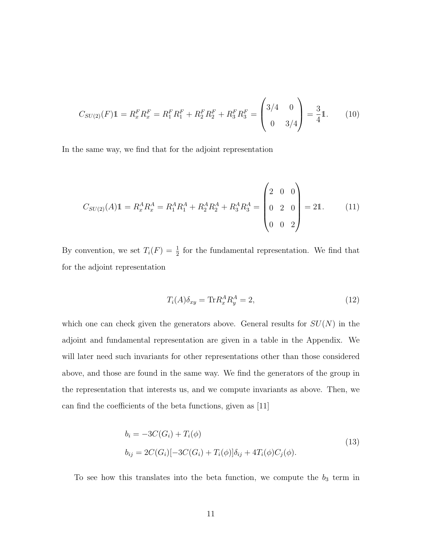$$
C_{SU(2)}(F)\mathbb{1} = R_x^F R_x^F = R_1^F R_1^F + R_2^F R_2^F + R_3^F R_3^F = \begin{pmatrix} 3/4 & 0\\ 0 & 3/4 \end{pmatrix} = \frac{3}{4}\mathbb{1}.
$$
 (10)

In the same way, we find that for the adjoint representation

$$
C_{SU(2)}(A)\mathbb{1} = R_x^A R_x^A = R_1^A R_1^A + R_2^A R_2^A + R_3^A R_3^A = \begin{pmatrix} 2 & 0 & 0 \\ 0 & 2 & 0 \\ 0 & 0 & 2 \end{pmatrix} = 2\mathbb{1}.
$$
 (11)

By convention, we set  $T_i(F) = \frac{1}{2}$  for the fundamental representation. We find that for the adjoint representation

$$
T_i(A)\delta_{xy} = \text{Tr}R_x^A R_y^A = 2,\tag{12}
$$

which one can check given the generators above. General results for  $SU(N)$  in the adjoint and fundamental representation are given in a table in the Appendix. We will later need such invariants for other representations other than those considered above, and those are found in the same way. We find the generators of the group in the representation that interests us, and we compute invariants as above. Then, we can find the coefficients of the beta functions, given as [11]

$$
b_i = -3C(G_i) + T_i(\phi)
$$
  
\n
$$
b_{ij} = 2C(G_i)[-3C(G_i) + T_i(\phi)]\delta_{ij} + 4T_i(\phi)C_j(\phi).
$$
\n(13)

To see how this translates into the beta function, we compute the  $b_3$  term in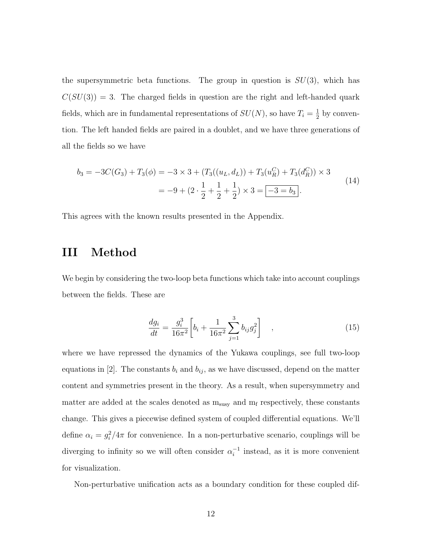the supersymmetric beta functions. The group in question is  $SU(3)$ , which has  $C(SU(3)) = 3$ . The charged fields in question are the right and left-handed quark fields, which are in fundamental representations of  $SU(N)$ , so have  $T_i = \frac{1}{2}$  $\frac{1}{2}$  by convention. The left handed fields are paired in a doublet, and we have three generations of all the fields so we have

$$
b_3 = -3C(G_3) + T_3(\phi) = -3 \times 3 + (T_3((u_L, d_L)) + T_3(u_R^C) + T_3(d_R^C)) \times 3
$$
  
= -9 + (2 \cdot \frac{1}{2} + \frac{1}{2} + \frac{1}{2}) \times 3 = -3 = b\_3. (14)

This agrees with the known results presented in the Appendix.

### III Method

We begin by considering the two-loop beta functions which take into account couplings between the fields. These are

$$
\frac{dg_i}{dt} = \frac{g_i^3}{16\pi^2} \left[ b_i + \frac{1}{16\pi^2} \sum_{j=1}^3 b_{ij} g_j^2 \right] , \qquad (15)
$$

where we have repressed the dynamics of the Yukawa couplings, see full two-loop equations in [2]. The constants  $b_i$  and  $b_{ij}$ , as we have discussed, depend on the matter content and symmetries present in the theory. As a result, when supersymmetry and matter are added at the scales denoted as  $m_{susy}$  and  $m_f$  respectively, these constants change. This gives a piecewise defined system of coupled differential equations. We'll define  $\alpha_i = g_i^2/4\pi$  for convenience. In a non-perturbative scenario, couplings will be diverging to infinity so we will often consider  $\alpha_i^{-1}$  $i<sup>-1</sup>$  instead, as it is more convenient for visualization.

Non-perturbative unification acts as a boundary condition for these coupled dif-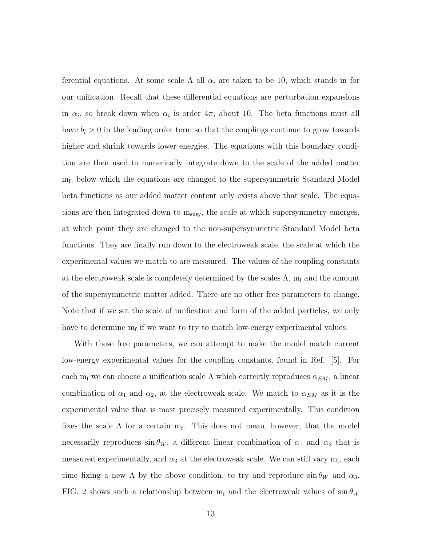ferential equations. At some scale  $\Lambda$  all  $\alpha_i$  are taken to be 10, which stands in for our unification. Recall that these differential equations are perturbation expansions in  $\alpha_i$ , so break down when  $\alpha_i$  is order  $4\pi$ , about 10. The beta functions must all have  $b_i > 0$  in the leading order term so that the couplings continue to grow towards higher and shrink towards lower energies. The equations with this boundary condition are then used to numerically integrate down to the scale of the added matter mf , below which the equations are changed to the supersymmetric Standard Model beta functions as our added matter content only exists above that scale. The equations are then integrated down to m<sub>susy</sub>, the scale at which supersymmetry emerges, at which point they are changed to the non-supersymmetric Standard Model beta functions. They are finally run down to the electroweak scale, the scale at which the experimental values we match to are measured. The values of the coupling constants at the electroweak scale is completely determined by the scales  $\Lambda$ ,  $m_f$  and the amount of the supersymmetric matter added. There are no other free parameters to change. Note that if we set the scale of unification and form of the added particles, we only have to determine  $m_f$  if we want to try to match low-energy experimental values.

With these free parameters, we can attempt to make the model match current low-energy experimental values for the coupling constants, found in Ref. [5]. For each m<sub>f</sub> we can choose a unification scale  $\Lambda$  which correctly reproduces  $\alpha_{EM}$ , a linear combination of  $\alpha_1$  and  $\alpha_2$ , at the electroweak scale. We match to  $\alpha_{EM}$  as it is the experimental value that is most precisely measured experimentally. This condition fixes the scale  $\Lambda$  for a certain  $m_f$ . This does not mean, however, that the model necessarily reproduces  $\sin \theta_W$ , a different linear combination of  $\alpha_1$  and  $\alpha_2$  that is measured experimentally, and  $\alpha_3$  at the electroweak scale. We can still vary  $m_f$ , each time fixing a new  $\Lambda$  by the above condition, to try and reproduce  $\sin \theta_W$  and  $\alpha_3$ . FIG. 2 shows such a relationship between  $m_f$  and the electroweak values of  $\sin \theta_W$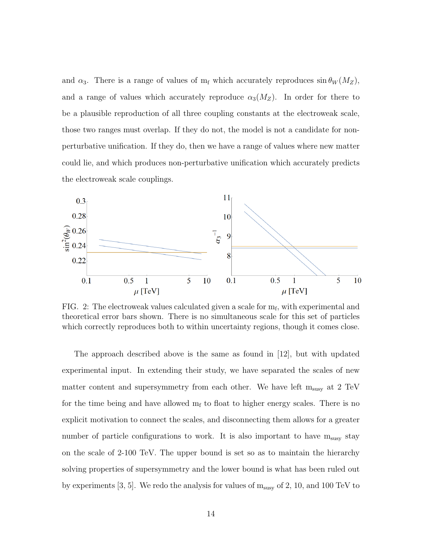and  $\alpha_3$ . There is a range of values of m<sub>f</sub> which accurately reproduces  $\sin \theta_W (M_Z)$ , and a range of values which accurately reproduce  $\alpha_3(M_Z)$ . In order for there to be a plausible reproduction of all three coupling constants at the electroweak scale, those two ranges must overlap. If they do not, the model is not a candidate for nonperturbative unification. If they do, then we have a range of values where new matter could lie, and which produces non-perturbative unification which accurately predicts the electroweak scale couplings.



FIG. 2: The electroweak values calculated given a scale for  $m_f$ , with experimental and theoretical error bars shown. There is no simultaneous scale for this set of particles which correctly reproduces both to within uncertainty regions, though it comes close.

The approach described above is the same as found in  $|12|$ , but with updated experimental input. In extending their study, we have separated the scales of new matter content and supersymmetry from each other. We have left  $m_{susy}$  at 2 TeV for the time being and have allowed  $m_f$  to float to higher energy scales. There is no explicit motivation to connect the scales, and disconnecting them allows for a greater number of particle configurations to work. It is also important to have  $m_{\text{susy}}$  stay on the scale of 2-100 TeV. The upper bound is set so as to maintain the hierarchy solving properties of supersymmetry and the lower bound is what has been ruled out by experiments [3, 5]. We redo the analysis for values of  $m_{susy}$  of 2, 10, and 100 TeV to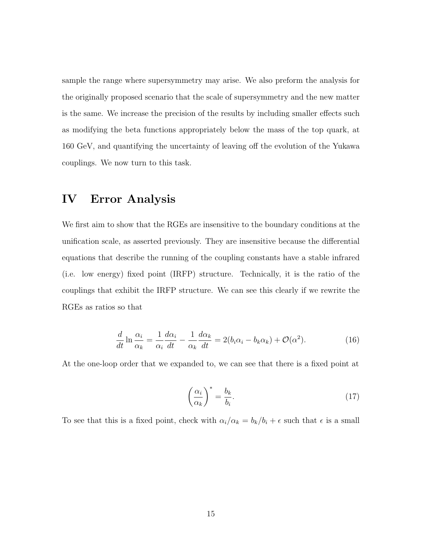sample the range where supersymmetry may arise. We also preform the analysis for the originally proposed scenario that the scale of supersymmetry and the new matter is the same. We increase the precision of the results by including smaller effects such as modifying the beta functions appropriately below the mass of the top quark, at 160 GeV, and quantifying the uncertainty of leaving off the evolution of the Yukawa couplings. We now turn to this task.

#### IV Error Analysis

We first aim to show that the RGEs are insensitive to the boundary conditions at the unification scale, as asserted previously. They are insensitive because the differential equations that describe the running of the coupling constants have a stable infrared (i.e. low energy) fixed point (IRFP) structure. Technically, it is the ratio of the couplings that exhibit the IRFP structure. We can see this clearly if we rewrite the RGEs as ratios so that

$$
\frac{d}{dt}\ln\frac{\alpha_i}{\alpha_k} = \frac{1}{\alpha_i}\frac{d\alpha_i}{dt} - \frac{1}{\alpha_k}\frac{d\alpha_k}{dt} = 2(b_i\alpha_i - b_k\alpha_k) + \mathcal{O}(\alpha^2). \tag{16}
$$

At the one-loop order that we expanded to, we can see that there is a fixed point at

$$
\left(\frac{\alpha_i}{\alpha_k}\right)^* = \frac{b_k}{b_i}.\tag{17}
$$

To see that this is a fixed point, check with  $\alpha_i/\alpha_k = b_k/b_i + \epsilon$  such that  $\epsilon$  is a small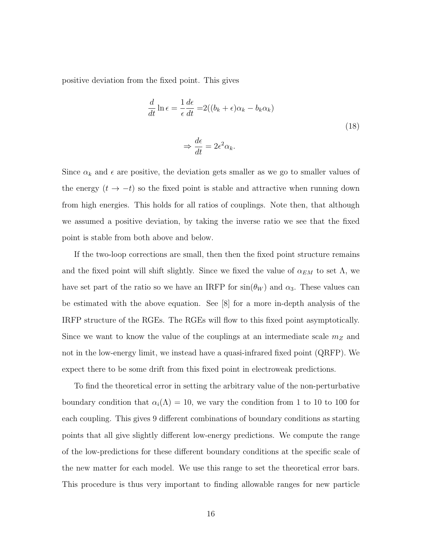positive deviation from the fixed point. This gives

$$
\frac{d}{dt}\ln \epsilon = \frac{1}{\epsilon}\frac{d\epsilon}{dt} = 2((b_k + \epsilon)\alpha_k - b_k\alpha_k)
$$

$$
\Rightarrow \frac{d\epsilon}{dt} = 2\epsilon^2 \alpha_k.
$$
 (18)

Since  $\alpha_k$  and  $\epsilon$  are positive, the deviation gets smaller as we go to smaller values of the energy  $(t \rightarrow -t)$  so the fixed point is stable and attractive when running down from high energies. This holds for all ratios of couplings. Note then, that although we assumed a positive deviation, by taking the inverse ratio we see that the fixed point is stable from both above and below.

If the two-loop corrections are small, then then the fixed point structure remains and the fixed point will shift slightly. Since we fixed the value of  $\alpha_{EM}$  to set  $\Lambda$ , we have set part of the ratio so we have an IRFP for  $sin(\theta_W)$  and  $\alpha_3$ . These values can be estimated with the above equation. See [8] for a more in-depth analysis of the IRFP structure of the RGEs. The RGEs will flow to this fixed point asymptotically. Since we want to know the value of the couplings at an intermediate scale  $m_Z$  and not in the low-energy limit, we instead have a quasi-infrared fixed point (QRFP). We expect there to be some drift from this fixed point in electroweak predictions.

To find the theoretical error in setting the arbitrary value of the non-perturbative boundary condition that  $\alpha_i(\Lambda) = 10$ , we vary the condition from 1 to 10 to 100 for each coupling. This gives 9 different combinations of boundary conditions as starting points that all give slightly different low-energy predictions. We compute the range of the low-predictions for these different boundary conditions at the specific scale of the new matter for each model. We use this range to set the theoretical error bars. This procedure is thus very important to finding allowable ranges for new particle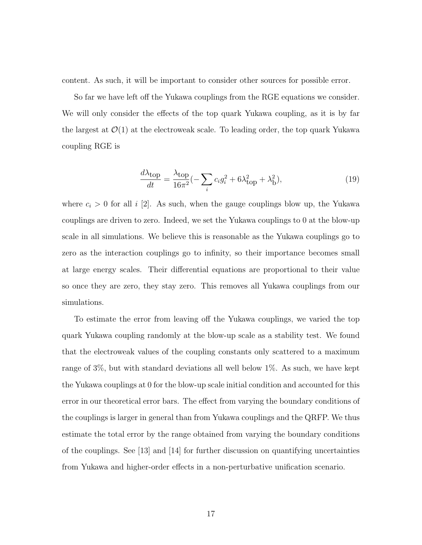content. As such, it will be important to consider other sources for possible error.

So far we have left off the Yukawa couplings from the RGE equations we consider. We will only consider the effects of the top quark Yukawa coupling, as it is by far the largest at  $\mathcal{O}(1)$  at the electroweak scale. To leading order, the top quark Yukawa coupling RGE is

$$
\frac{d\lambda_{\text{top}}}{dt} = \frac{\lambda_{\text{top}}}{16\pi^2} \left( -\sum_i c_i g_i^2 + 6\lambda_{\text{top}}^2 + \lambda_{\text{D}}^2 \right),\tag{19}
$$

where  $c_i > 0$  for all i [2]. As such, when the gauge couplings blow up, the Yukawa couplings are driven to zero. Indeed, we set the Yukawa couplings to 0 at the blow-up scale in all simulations. We believe this is reasonable as the Yukawa couplings go to zero as the interaction couplings go to infinity, so their importance becomes small at large energy scales. Their differential equations are proportional to their value so once they are zero, they stay zero. This removes all Yukawa couplings from our simulations.

To estimate the error from leaving off the Yukawa couplings, we varied the top quark Yukawa coupling randomly at the blow-up scale as a stability test. We found that the electroweak values of the coupling constants only scattered to a maximum range of 3%, but with standard deviations all well below 1%. As such, we have kept the Yukawa couplings at 0 for the blow-up scale initial condition and accounted for this error in our theoretical error bars. The effect from varying the boundary conditions of the couplings is larger in general than from Yukawa couplings and the QRFP. We thus estimate the total error by the range obtained from varying the boundary conditions of the couplings. See [13] and [14] for further discussion on quantifying uncertainties from Yukawa and higher-order effects in a non-perturbative unification scenario.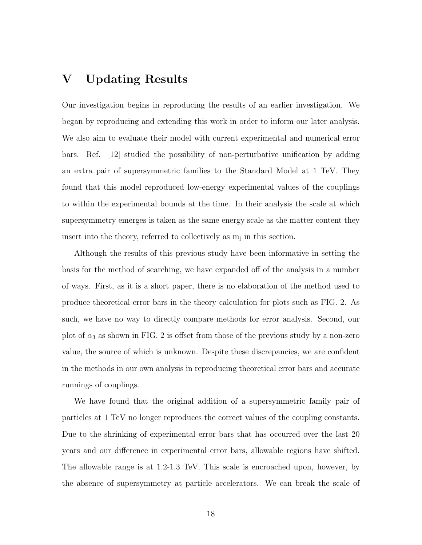#### V Updating Results

Our investigation begins in reproducing the results of an earlier investigation. We began by reproducing and extending this work in order to inform our later analysis. We also aim to evaluate their model with current experimental and numerical error bars. Ref. [12] studied the possibility of non-perturbative unification by adding an extra pair of supersymmetric families to the Standard Model at 1 TeV. They found that this model reproduced low-energy experimental values of the couplings to within the experimental bounds at the time. In their analysis the scale at which supersymmetry emerges is taken as the same energy scale as the matter content they insert into the theory, referred to collectively as  $m_f$  in this section.

Although the results of this previous study have been informative in setting the basis for the method of searching, we have expanded off of the analysis in a number of ways. First, as it is a short paper, there is no elaboration of the method used to produce theoretical error bars in the theory calculation for plots such as FIG. 2. As such, we have no way to directly compare methods for error analysis. Second, our plot of  $\alpha_3$  as shown in FIG. 2 is offset from those of the previous study by a non-zero value, the source of which is unknown. Despite these discrepancies, we are confident in the methods in our own analysis in reproducing theoretical error bars and accurate runnings of couplings.

We have found that the original addition of a supersymmetric family pair of particles at 1 TeV no longer reproduces the correct values of the coupling constants. Due to the shrinking of experimental error bars that has occurred over the last 20 years and our difference in experimental error bars, allowable regions have shifted. The allowable range is at 1.2-1.3 TeV. This scale is encroached upon, however, by the absence of supersymmetry at particle accelerators. We can break the scale of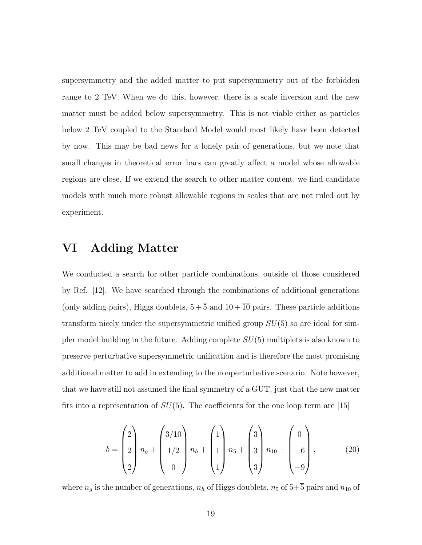supersymmetry and the added matter to put supersymmetry out of the forbidden range to 2 TeV. When we do this, however, there is a scale inversion and the new matter must be added below supersymmetry. This is not viable either as particles below 2 TeV coupled to the Standard Model would most likely have been detected by now. This may be bad news for a lonely pair of generations, but we note that small changes in theoretical error bars can greatly affect a model whose allowable regions are close. If we extend the search to other matter content, we find candidate models with much more robust allowable regions in scales that are not ruled out by experiment.

### VI Adding Matter

We conducted a search for other particle combinations, outside of those considered by Ref. [12]. We have searched through the combinations of additional generations (only adding pairs), Higgs doublets,  $5 + \overline{5}$  and  $10 + \overline{10}$  pairs. These particle additions transform nicely under the supersymmetric unified group  $SU(5)$  so are ideal for simpler model building in the future. Adding complete  $SU(5)$  multiplets is also known to preserve perturbative supersymmetric unification and is therefore the most promising additional matter to add in extending to the nonperturbative scenario. Note however, that we have still not assumed the final symmetry of a GUT, just that the new matter fits into a representation of  $SU(5)$ . The coefficients for the one loop term are [15]

$$
b = \begin{pmatrix} 2 \\ 2 \\ 2 \end{pmatrix} n_g + \begin{pmatrix} 3/10 \\ 1/2 \\ 0 \end{pmatrix} n_h + \begin{pmatrix} 1 \\ 1 \\ 1 \end{pmatrix} n_5 + \begin{pmatrix} 3 \\ 3 \\ 3 \end{pmatrix} n_{10} + \begin{pmatrix} 0 \\ -6 \\ -9 \end{pmatrix},
$$
 (20)

where  $n_g$  is the number of generations,  $n_h$  of Higgs doublets,  $n_5$  of  $5+\overline{5}$  pairs and  $n_{10}$  of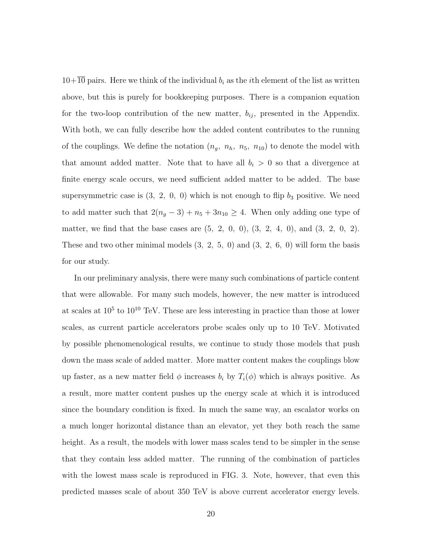$10+10$  pairs. Here we think of the individual  $b_i$  as the *i*th element of the list as written above, but this is purely for bookkeeping purposes. There is a companion equation for the two-loop contribution of the new matter,  $b_{ij}$ , presented in the Appendix. With both, we can fully describe how the added content contributes to the running of the couplings. We define the notation  $(n_g, n_h, n_5, n_{10})$  to denote the model with that amount added matter. Note that to have all  $b_i > 0$  so that a divergence at finite energy scale occurs, we need sufficient added matter to be added. The base supersymmetric case is  $(3, 2, 0, 0)$  which is not enough to flip  $b_3$  positive. We need to add matter such that  $2(n_g - 3) + n_5 + 3n_{10} \ge 4$ . When only adding one type of matter, we find that the base cases are  $(5, 2, 0, 0), (3, 2, 4, 0),$  and  $(3, 2, 0, 2)$ . These and two other minimal models  $(3, 2, 5, 0)$  and  $(3, 2, 6, 0)$  will form the basis for our study.

In our preliminary analysis, there were many such combinations of particle content that were allowable. For many such models, however, the new matter is introduced at scales at  $10^5$  to  $10^{10}$  TeV. These are less interesting in practice than those at lower scales, as current particle accelerators probe scales only up to 10 TeV. Motivated by possible phenomenological results, we continue to study those models that push down the mass scale of added matter. More matter content makes the couplings blow up faster, as a new matter field  $\phi$  increases  $b_i$  by  $T_i(\phi)$  which is always positive. As a result, more matter content pushes up the energy scale at which it is introduced since the boundary condition is fixed. In much the same way, an escalator works on a much longer horizontal distance than an elevator, yet they both reach the same height. As a result, the models with lower mass scales tend to be simpler in the sense that they contain less added matter. The running of the combination of particles with the lowest mass scale is reproduced in FIG. 3. Note, however, that even this predicted masses scale of about 350 TeV is above current accelerator energy levels.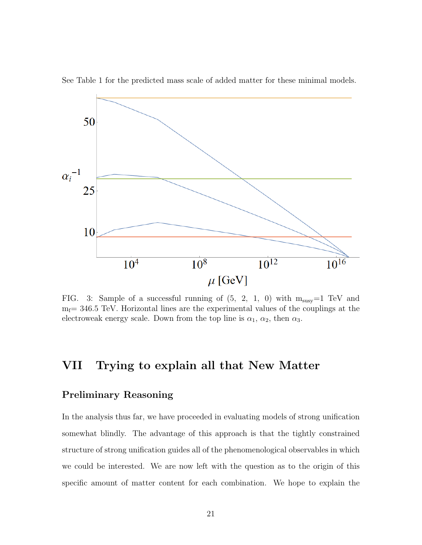

See Table 1 for the predicted mass scale of added matter for these minimal models.

FIG. 3: Sample of a successful running of  $(5, 2, 1, 0)$  with  $m_{\text{susy}}=1$  TeV and  $m_f$  = 346.5 TeV. Horizontal lines are the experimental values of the couplings at the electroweak energy scale. Down from the top line is  $\alpha_1$ ,  $\alpha_2$ , then  $\alpha_3$ .

### VII Trying to explain all that New Matter

#### Preliminary Reasoning

In the analysis thus far, we have proceeded in evaluating models of strong unification somewhat blindly. The advantage of this approach is that the tightly constrained structure of strong unification guides all of the phenomenological observables in which we could be interested. We are now left with the question as to the origin of this specific amount of matter content for each combination. We hope to explain the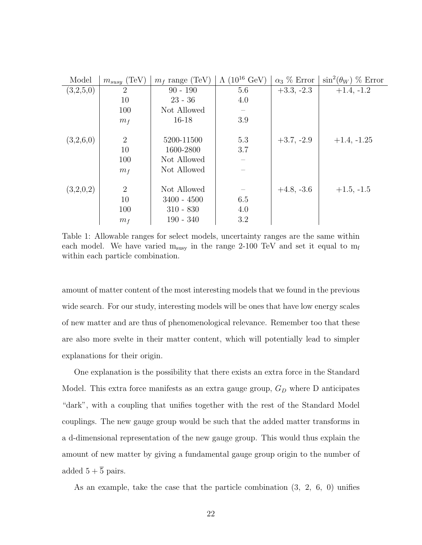| Model     | $m_{susy}$ (TeV) | $m_f$ range (TeV) | $(10^{16} \text{ GeV})$<br>$\Lambda$ | $\alpha_3 \%$ Error | $\sin^2(\theta_W)$ % Error |
|-----------|------------------|-------------------|--------------------------------------|---------------------|----------------------------|
| (3,2,5,0) | $\overline{2}$   | $90 - 190$        | 5.6                                  | $+3.3, -2.3$        | $+1.4, -1.2$               |
|           | 10               | $23 - 36$         | 4.0                                  |                     |                            |
|           | 100              | Not Allowed       |                                      |                     |                            |
|           | m <sub>f</sub>   | $16 - 18$         | 3.9                                  |                     |                            |
|           |                  |                   |                                      |                     |                            |
| (3,2,6,0) | $\overline{2}$   | 5200-11500        | 5.3                                  | $+3.7, -2.9$        | $+1.4, -1.25$              |
|           | 10               | 1600-2800         | 3.7                                  |                     |                            |
|           | 100              | Not Allowed       |                                      |                     |                            |
|           | m <sub>f</sub>   | Not Allowed       |                                      |                     |                            |
|           |                  |                   |                                      |                     |                            |
| (3,2,0,2) | $\overline{2}$   | Not Allowed       |                                      | $+4.8, -3.6$        | $+1.5, -1.5$               |
|           | 10               | $3400 - 4500$     | 6.5                                  |                     |                            |
|           | 100              | $310 - 830$       | 4.0                                  |                     |                            |
|           | m <sub>f</sub>   | $190 - 340$       | 3.2                                  |                     |                            |

Table 1: Allowable ranges for select models, uncertainty ranges are the same within each model. We have varied  $m_{susy}$  in the range 2-100 TeV and set it equal to  $m_f$ within each particle combination.

amount of matter content of the most interesting models that we found in the previous wide search. For our study, interesting models will be ones that have low energy scales of new matter and are thus of phenomenological relevance. Remember too that these are also more svelte in their matter content, which will potentially lead to simpler explanations for their origin.

One explanation is the possibility that there exists an extra force in the Standard Model. This extra force manifests as an extra gauge group,  $G_D$  where D anticipates "dark", with a coupling that unifies together with the rest of the Standard Model couplings. The new gauge group would be such that the added matter transforms in a d-dimensional representation of the new gauge group. This would thus explain the amount of new matter by giving a fundamental gauge group origin to the number of added  $5 + \overline{5}$  pairs.

As an example, take the case that the particle combination (3, 2, 6, 0) unifies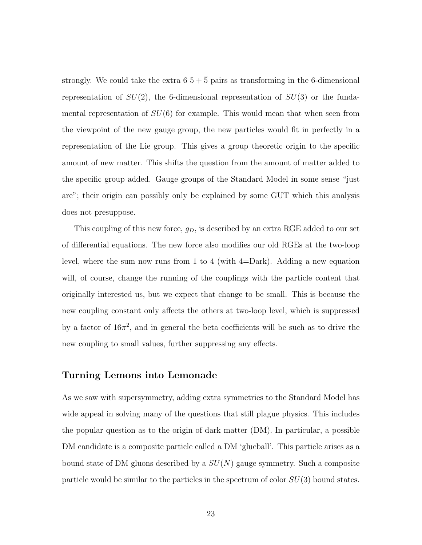strongly. We could take the extra  $6\frac{5}{5} + \overline{5}$  pairs as transforming in the 6-dimensional representation of  $SU(2)$ , the 6-dimensional representation of  $SU(3)$  or the fundamental representation of  $SU(6)$  for example. This would mean that when seen from the viewpoint of the new gauge group, the new particles would fit in perfectly in a representation of the Lie group. This gives a group theoretic origin to the specific amount of new matter. This shifts the question from the amount of matter added to the specific group added. Gauge groups of the Standard Model in some sense "just are"; their origin can possibly only be explained by some GUT which this analysis does not presuppose.

This coupling of this new force,  $g_D$ , is described by an extra RGE added to our set of differential equations. The new force also modifies our old RGEs at the two-loop level, where the sum now runs from 1 to 4 (with 4=Dark). Adding a new equation will, of course, change the running of the couplings with the particle content that originally interested us, but we expect that change to be small. This is because the new coupling constant only affects the others at two-loop level, which is suppressed by a factor of  $16\pi^2$ , and in general the beta coefficients will be such as to drive the new coupling to small values, further suppressing any effects.

#### Turning Lemons into Lemonade

As we saw with supersymmetry, adding extra symmetries to the Standard Model has wide appeal in solving many of the questions that still plague physics. This includes the popular question as to the origin of dark matter (DM). In particular, a possible DM candidate is a composite particle called a DM 'glueball'. This particle arises as a bound state of DM gluons described by a  $SU(N)$  gauge symmetry. Such a composite particle would be similar to the particles in the spectrum of color  $SU(3)$  bound states.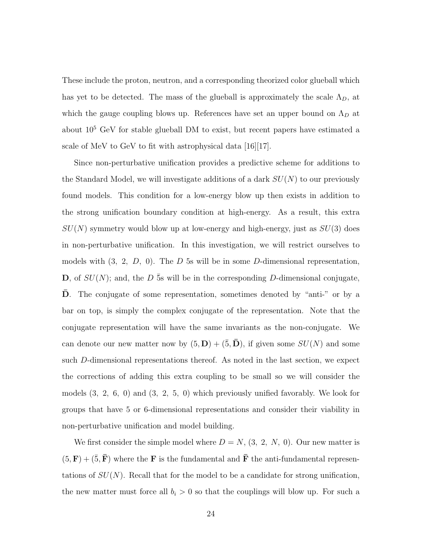These include the proton, neutron, and a corresponding theorized color glueball which has yet to be detected. The mass of the glueball is approximately the scale  $\Lambda_D$ , at which the gauge coupling blows up. References have set an upper bound on  $\Lambda_D$  at about 10<sup>5</sup> GeV for stable glueball DM to exist, but recent papers have estimated a scale of MeV to GeV to fit with astrophysical data [16][17].

Since non-perturbative unification provides a predictive scheme for additions to the Standard Model, we will investigate additions of a dark  $SU(N)$  to our previously found models. This condition for a low-energy blow up then exists in addition to the strong unification boundary condition at high-energy. As a result, this extra  $SU(N)$  symmetry would blow up at low-energy and high-energy, just as  $SU(3)$  does in non-perturbative unification. In this investigation, we will restrict ourselves to models with  $(3, 2, D, 0)$ . The D 5s will be in some D-dimensional representation, D, of  $SU(N)$ ; and, the D  $\bar{5}$ s will be in the corresponding D-dimensional conjugate, D. The conjugate of some representation, sometimes denoted by "anti-" or by a bar on top, is simply the complex conjugate of the representation. Note that the conjugate representation will have the same invariants as the non-conjugate. We can denote our new matter now by  $(5, D) + (\bar{5}, \bar{D})$ , if given some  $SU(N)$  and some such D-dimensional representations thereof. As noted in the last section, we expect the corrections of adding this extra coupling to be small so we will consider the models (3, 2, 6, 0) and (3, 2, 5, 0) which previously unified favorably. We look for groups that have 5 or 6-dimensional representations and consider their viability in non-perturbative unification and model building.

We first consider the simple model where  $D = N$ ,  $(3, 2, N, 0)$ . Our new matter is  $(5, \mathbf{F}) + (\bar{5}, \bar{\mathbf{F}})$  where the **F** is the fundamental and **F** the anti-fundamental representations of  $SU(N)$ . Recall that for the model to be a candidate for strong unification, the new matter must force all  $b_i > 0$  so that the couplings will blow up. For such a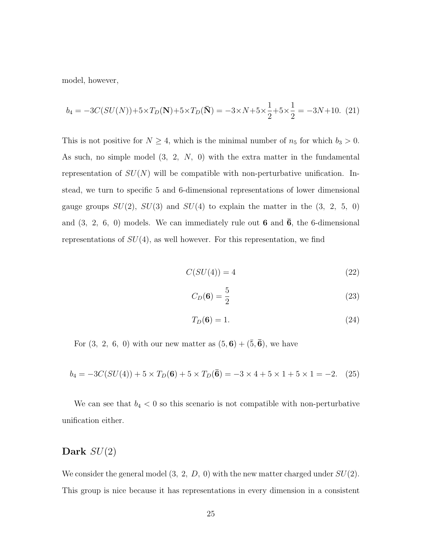model, however,

$$
b_4 = -3C(SU(N)) + 5 \times T_D(N) + 5 \times T_D(\bar{N}) = -3 \times N + 5 \times \frac{1}{2} + 5 \times \frac{1}{2} = -3N + 10. \tag{21}
$$

This is not positive for  $N \geq 4$ , which is the minimal number of  $n_5$  for which  $b_3 > 0$ . As such, no simple model (3, 2, N, 0) with the extra matter in the fundamental representation of  $SU(N)$  will be compatible with non-perturbative unification. Instead, we turn to specific 5 and 6-dimensional representations of lower dimensional gauge groups  $SU(2)$ ,  $SU(3)$  and  $SU(4)$  to explain the matter in the  $(3, 2, 5, 0)$ and  $(3, 2, 6, 0)$  models. We can immediately rule out 6 and  $\overline{6}$ , the 6-dimensional representations of  $SU(4)$ , as well however. For this representation, we find

$$
C(SU(4)) = 4 \tag{22}
$$

$$
C_D(\mathbf{6}) = \frac{5}{2} \tag{23}
$$

$$
T_D(\mathbf{6}) = 1.\t(24)
$$

For  $(3, 2, 6, 0)$  with our new matter as  $(5, 6) + (\overline{5}, \overline{6})$ , we have

$$
b_4 = -3C(SU(4)) + 5 \times T_D(6) + 5 \times T_D(\bar{6}) = -3 \times 4 + 5 \times 1 + 5 \times 1 = -2. \quad (25)
$$

We can see that  $b_4 < 0$  so this scenario is not compatible with non-perturbative unification either.

#### Dark  $SU(2)$

We consider the general model  $(3, 2, D, 0)$  with the new matter charged under  $SU(2)$ . This group is nice because it has representations in every dimension in a consistent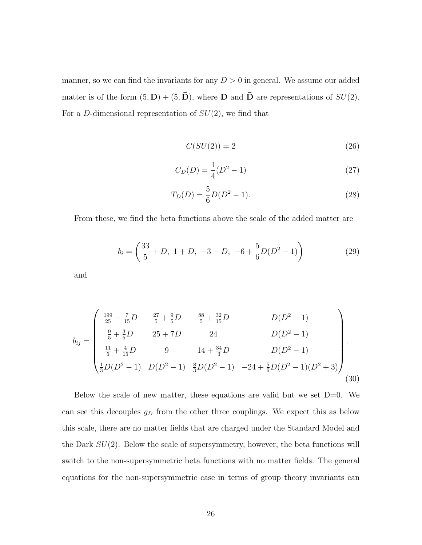manner, so we can find the invariants for any  $D > 0$  in general. We assume our added matter is of the form  $(5, D) + (\bar{5}, \bar{D})$ , where **D** and **D** are representations of  $SU(2)$ . For a D-dimensional representation of  $SU(2)$ , we find that

$$
C(SU(2)) = 2 \tag{26}
$$

$$
C_D(D) = \frac{1}{4}(D^2 - 1)
$$
\n(27)

$$
T_D(D) = \frac{5}{6}D(D^2 - 1).
$$
\n(28)

From these, we find the beta functions above the scale of the added matter are

$$
b_i = \left(\frac{33}{5} + D, \ 1 + D, \ -3 + D, \ -6 + \frac{5}{6}D(D^2 - 1)\right) \tag{29}
$$

and

$$
b_{ij} = \begin{pmatrix} \frac{199}{25} + \frac{7}{15}D & \frac{27}{5} + \frac{9}{5}D & \frac{88}{5} + \frac{32}{15}D & D(D^2 - 1) \\ \frac{9}{5} + \frac{3}{5}D & 25 + 7D & 24 & D(D^2 - 1) \\ \frac{11}{5} + \frac{4}{15}D & 9 & 14 + \frac{34}{3}D & D(D^2 - 1) \\ \frac{1}{3}D(D^2 - 1) & D(D^2 - 1) & \frac{8}{3}D(D^2 - 1) & -24 + \frac{5}{6}D(D^2 - 1)(D^2 + 3) \end{pmatrix}.
$$
\n(30)

Below the scale of new matter, these equations are valid but we set  $D=0$ . We can see this decouples  $g_D$  from the other three couplings. We expect this as below this scale, there are no matter fields that are charged under the Standard Model and the Dark  $SU(2)$ . Below the scale of supersymmetry, however, the beta functions will switch to the non-supersymmetric beta functions with no matter fields. The general equations for the non-supersymmetric case in terms of group theory invariants can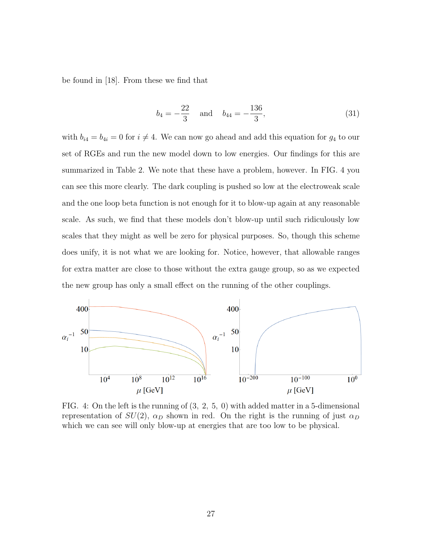be found in [18]. From these we find that

$$
b_4 = -\frac{22}{3}
$$
 and  $b_{44} = -\frac{136}{3}$ , (31)

with  $b_{i4} = b_{4i} = 0$  for  $i \neq 4$ . We can now go ahead and add this equation for  $g_4$  to our set of RGEs and run the new model down to low energies. Our findings for this are summarized in Table 2. We note that these have a problem, however. In FIG. 4 you can see this more clearly. The dark coupling is pushed so low at the electroweak scale and the one loop beta function is not enough for it to blow-up again at any reasonable scale. As such, we find that these models don't blow-up until such ridiculously low scales that they might as well be zero for physical purposes. So, though this scheme does unify, it is not what we are looking for. Notice, however, that allowable ranges for extra matter are close to those without the extra gauge group, so as we expected the new group has only a small effect on the running of the other couplings.



FIG. 4: On the left is the running of (3, 2, 5, 0) with added matter in a 5-dimensional representation of  $SU(2)$ ,  $\alpha_D$  shown in red. On the right is the running of just  $\alpha_D$ which we can see will only blow-up at energies that are too low to be physical.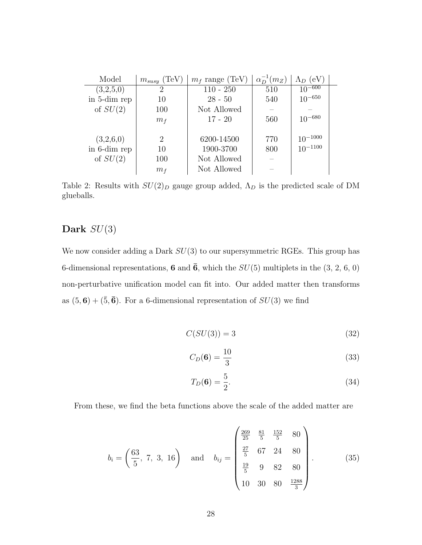| Model        | $m_{susy}$ (TeV | $m_f$ range (TeV) | $\alpha_D^{-1}(m_Z)$ | $\Lambda_D$ (eV) |  |
|--------------|-----------------|-------------------|----------------------|------------------|--|
| (3,2,5,0)    | $\overline{2}$  | $110 - 250$       | 510                  | $10^{-600}$      |  |
| in 5-dim rep | 10              | $28 - 50$         | 540                  | $10^{-650}$      |  |
| of $SU(2)$   | 100             | Not Allowed       |                      |                  |  |
|              | $m_f$           | $17 - 20$         | 560                  | $10^{-680}$      |  |
|              |                 |                   |                      |                  |  |
| (3,2,6,0)    | 2               | 6200-14500        | 770                  | $10^{-1000}$     |  |
| in 6-dim rep | 10              | 1900-3700         | 800                  | $10^{-1100}$     |  |
| of $SU(2)$   | 100             | Not Allowed       |                      |                  |  |
|              | m <sub>f</sub>  | Not Allowed       |                      |                  |  |

Table 2: Results with  $SU(2)_D$  gauge group added,  $\Lambda_D$  is the predicted scale of DM glueballs.

#### Dark  $SU(3)$

We now consider adding a Dark  $SU(3)$  to our supersymmetric RGEs. This group has 6-dimensional representations, 6 and  $\bar{6}$ , which the  $SU(5)$  multiplets in the  $(3, 2, 6, 0)$ non-perturbative unification model can fit into. Our added matter then transforms as  $(5, 6) + (\overline{5}, \overline{6})$ . For a 6-dimensional representation of  $SU(3)$  we find

$$
C(SU(3)) = 3 \tag{32}
$$

$$
C_D(6) = \frac{10}{3} \tag{33}
$$

$$
T_D(6) = \frac{5}{2}.
$$
\n(34)

From these, we find the beta functions above the scale of the added matter are

$$
b_i = \left(\frac{63}{5}, 7, 3, 16\right) \quad \text{and} \quad b_{ij} = \begin{pmatrix} \frac{269}{25} & \frac{81}{5} & \frac{152}{5} & 80\\ \frac{27}{5} & 67 & 24 & 80\\ \frac{19}{5} & 9 & 82 & 80\\ 10 & 30 & 80 & \frac{1288}{3} \end{pmatrix} . \tag{35}
$$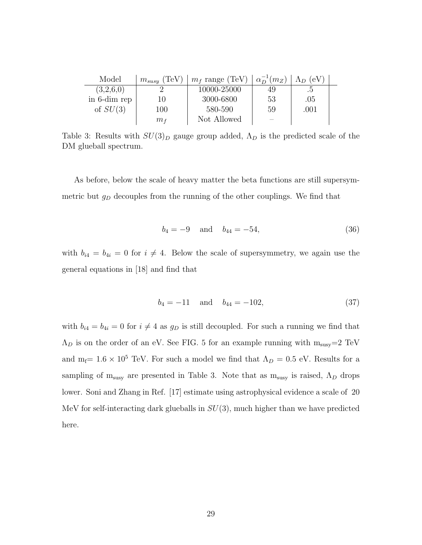| Model        | $m_{susy}$ (TeV) | $m_f$ range (TeV) | $\alpha_D^{-1}(m_Z)$ | $\Lambda_D$ (eV) |  |
|--------------|------------------|-------------------|----------------------|------------------|--|
| (3,2,6,0)    |                  | 10000-25000       | 49                   |                  |  |
| in 6-dim rep | 10               | 3000-6800         | 53                   | .05              |  |
| of $SU(3)$   | 100              | 580-590           | 59                   | .001             |  |
|              | m <sub>f</sub>   | Not Allowed       |                      |                  |  |

Table 3: Results with  $SU(3)_D$  gauge group added,  $\Lambda_D$  is the predicted scale of the DM glueball spectrum.

As before, below the scale of heavy matter the beta functions are still supersymmetric but  $g_D$  decouples from the running of the other couplings. We find that

$$
b_4 = -9 \quad \text{and} \quad b_{44} = -54,\tag{36}
$$

with  $b_{i4} = b_{4i} = 0$  for  $i \neq 4$ . Below the scale of supersymmetry, we again use the general equations in [18] and find that

$$
b_4 = -11 \quad \text{and} \quad b_{44} = -102,\tag{37}
$$

with  $b_{i4} = b_{4i} = 0$  for  $i \neq 4$  as  $g_D$  is still decoupled. For such a running we find that  $\Lambda_D$  is on the order of an eV. See FIG. 5 for an example running with  $m_{susy}=2$  TeV and m<sub>f</sub>=  $1.6 \times 10^5$  TeV. For such a model we find that  $\Lambda_D = 0.5$  eV. Results for a sampling of  $m_{susy}$  are presented in Table 3. Note that as  $m_{susy}$  is raised,  $\Lambda_D$  drops lower. Soni and Zhang in Ref. [17] estimate using astrophysical evidence a scale of 20 MeV for self-interacting dark glueballs in  $SU(3)$ , much higher than we have predicted here.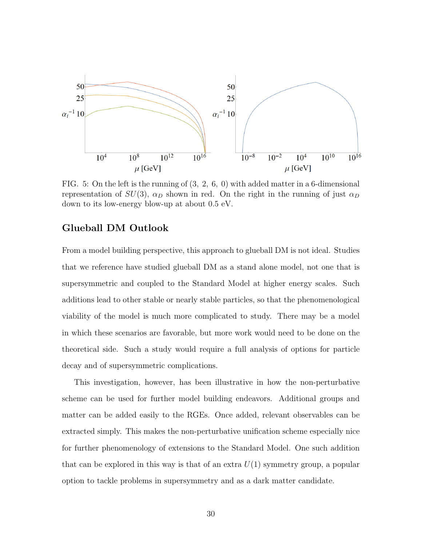

FIG. 5: On the left is the running of (3, 2, 6, 0) with added matter in a 6-dimensional representation of  $SU(3)$ ,  $\alpha_D$  shown in red. On the right in the running of just  $\alpha_D$ down to its low-energy blow-up at about 0.5 eV.

#### Glueball DM Outlook

From a model building perspective, this approach to glueball DM is not ideal. Studies that we reference have studied glueball DM as a stand alone model, not one that is supersymmetric and coupled to the Standard Model at higher energy scales. Such additions lead to other stable or nearly stable particles, so that the phenomenological viability of the model is much more complicated to study. There may be a model in which these scenarios are favorable, but more work would need to be done on the theoretical side. Such a study would require a full analysis of options for particle decay and of supersymmetric complications.

This investigation, however, has been illustrative in how the non-perturbative scheme can be used for further model building endeavors. Additional groups and matter can be added easily to the RGEs. Once added, relevant observables can be extracted simply. This makes the non-perturbative unification scheme especially nice for further phenomenology of extensions to the Standard Model. One such addition that can be explored in this way is that of an extra  $U(1)$  symmetry group, a popular option to tackle problems in supersymmetry and as a dark matter candidate.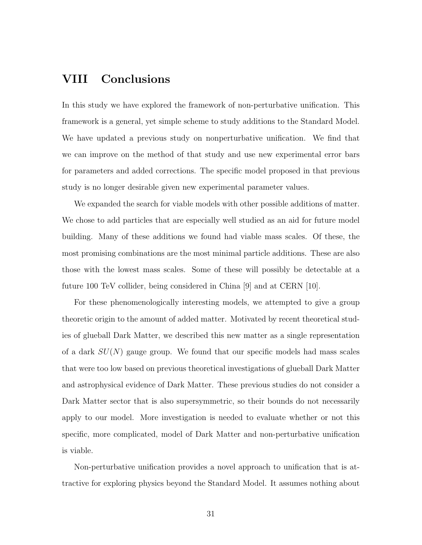### VIII Conclusions

In this study we have explored the framework of non-perturbative unification. This framework is a general, yet simple scheme to study additions to the Standard Model. We have updated a previous study on nonperturbative unification. We find that we can improve on the method of that study and use new experimental error bars for parameters and added corrections. The specific model proposed in that previous study is no longer desirable given new experimental parameter values.

We expanded the search for viable models with other possible additions of matter. We chose to add particles that are especially well studied as an aid for future model building. Many of these additions we found had viable mass scales. Of these, the most promising combinations are the most minimal particle additions. These are also those with the lowest mass scales. Some of these will possibly be detectable at a future 100 TeV collider, being considered in China [9] and at CERN [10].

For these phenomenologically interesting models, we attempted to give a group theoretic origin to the amount of added matter. Motivated by recent theoretical studies of glueball Dark Matter, we described this new matter as a single representation of a dark  $SU(N)$  gauge group. We found that our specific models had mass scales that were too low based on previous theoretical investigations of glueball Dark Matter and astrophysical evidence of Dark Matter. These previous studies do not consider a Dark Matter sector that is also supersymmetric, so their bounds do not necessarily apply to our model. More investigation is needed to evaluate whether or not this specific, more complicated, model of Dark Matter and non-perturbative unification is viable.

Non-perturbative unification provides a novel approach to unification that is attractive for exploring physics beyond the Standard Model. It assumes nothing about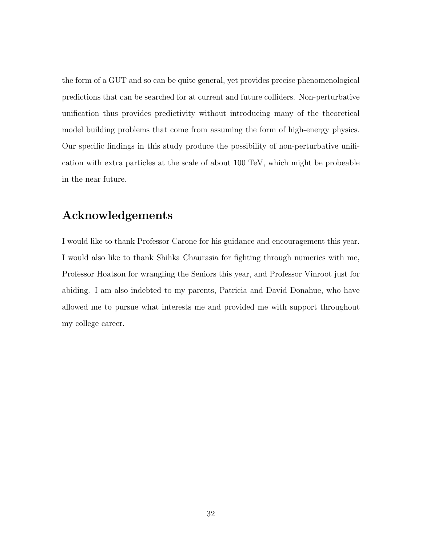the form of a GUT and so can be quite general, yet provides precise phenomenological predictions that can be searched for at current and future colliders. Non-perturbative unification thus provides predictivity without introducing many of the theoretical model building problems that come from assuming the form of high-energy physics. Our specific findings in this study produce the possibility of non-perturbative unification with extra particles at the scale of about 100 TeV, which might be probeable in the near future.

#### Acknowledgements

I would like to thank Professor Carone for his guidance and encouragement this year. I would also like to thank Shihka Chaurasia for fighting through numerics with me, Professor Hoatson for wrangling the Seniors this year, and Professor Vinroot just for abiding. I am also indebted to my parents, Patricia and David Donahue, who have allowed me to pursue what interests me and provided me with support throughout my college career.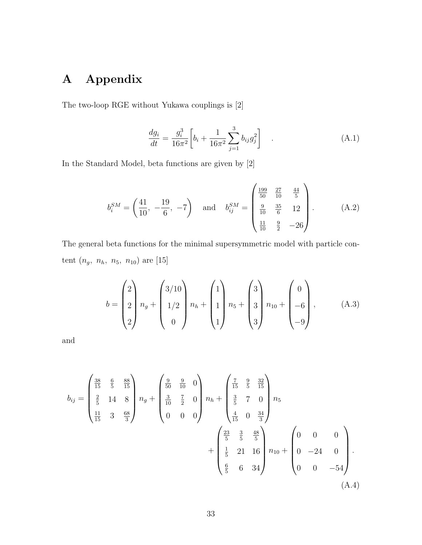# A Appendix

The two-loop RGE without Yukawa couplings is [2]

$$
\frac{dg_i}{dt} = \frac{g_i^3}{16\pi^2} \left[ b_i + \frac{1}{16\pi^2} \sum_{j=1}^3 b_{ij} g_j^2 \right] \tag{A.1}
$$

In the Standard Model, beta functions are given by [2]

$$
b_i^{SM} = \left(\frac{41}{10}, -\frac{19}{6}, -7\right) \quad \text{and} \quad b_{ij}^{SM} = \begin{pmatrix} \frac{199}{50} & \frac{27}{10} & \frac{44}{5} \\ \frac{9}{10} & \frac{35}{6} & 12 \\ \frac{11}{10} & \frac{9}{2} & -26 \end{pmatrix} . \tag{A.2}
$$

The general beta functions for the minimal supersymmetric model with particle content  $(n_g, n_h, n_5, n_{10})$  are [15]

$$
b = \begin{pmatrix} 2 \\ 2 \\ 2 \end{pmatrix} n_g + \begin{pmatrix} 3/10 \\ 1/2 \\ 0 \end{pmatrix} n_h + \begin{pmatrix} 1 \\ 1 \\ 1 \end{pmatrix} n_5 + \begin{pmatrix} 3 \\ 3 \\ 3 \end{pmatrix} n_{10} + \begin{pmatrix} 0 \\ -6 \\ -9 \end{pmatrix}, \tag{A.3}
$$

and

$$
b_{ij} = \begin{pmatrix} \frac{38}{15} & \frac{6}{5} & \frac{88}{15} \\ \frac{2}{5} & 14 & 8 \\ \frac{11}{15} & 3 & \frac{68}{3} \end{pmatrix} n_g + \begin{pmatrix} \frac{9}{50} & \frac{9}{10} & 0 \\ \frac{3}{10} & \frac{7}{2} & 0 \\ 0 & 0 & 0 \end{pmatrix} n_h + \begin{pmatrix} \frac{7}{15} & \frac{9}{5} & \frac{32}{15} \\ \frac{3}{5} & 7 & 0 \\ \frac{4}{15} & 0 & \frac{34}{3} \end{pmatrix} n_5 + \begin{pmatrix} \frac{23}{5} & \frac{3}{5} & \frac{48}{5} \\ \frac{1}{5} & 21 & 16 \\ \frac{6}{5} & 6 & 34 \end{pmatrix} n_{10} + \begin{pmatrix} 0 & 0 & 0 \\ 0 & -24 & 0 \\ 0 & 0 & -54 \end{pmatrix}.
$$
\n(A.4)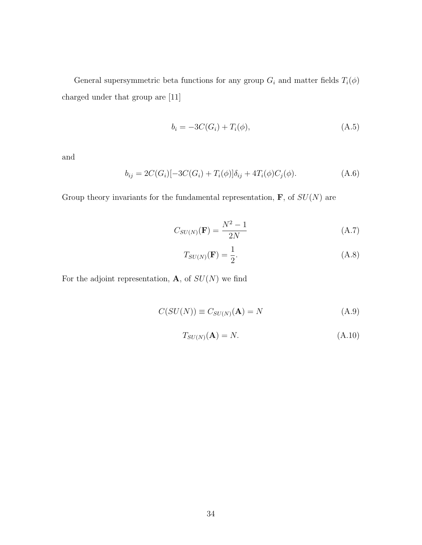General supersymmetric beta functions for any group  $G_i$  and matter fields  $T_i(\phi)$ charged under that group are [11]

$$
b_i = -3C(G_i) + T_i(\phi),
$$
\n(A.5)

and

$$
b_{ij} = 2C(G_i)[-3C(G_i) + T_i(\phi)]\delta_{ij} + 4T_i(\phi)C_j(\phi).
$$
 (A.6)

Group theory invariants for the fundamental representation,  $\mathbf{F}$ , of  $SU(N)$  are

$$
C_{SU(N)}(\mathbf{F}) = \frac{N^2 - 1}{2N} \tag{A.7}
$$

$$
T_{SU(N)}(\mathbf{F}) = \frac{1}{2}.\tag{A.8}
$$

For the adjoint representation,  $\mathbf A,$  of  $SU(N)$  we find

$$
C(SU(N)) \equiv C_{SU(N)}(\mathbf{A}) = N \tag{A.9}
$$

$$
T_{SU(N)}(\mathbf{A}) = N. \tag{A.10}
$$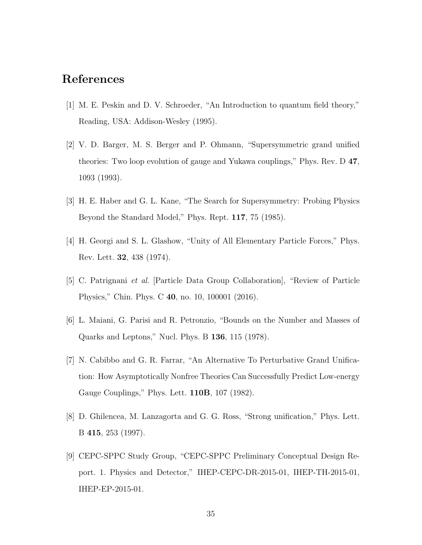#### References

- [1] M. E. Peskin and D. V. Schroeder, "An Introduction to quantum field theory," Reading, USA: Addison-Wesley (1995).
- [2] V. D. Barger, M. S. Berger and P. Ohmann, "Supersymmetric grand unified theories: Two loop evolution of gauge and Yukawa couplings," Phys. Rev. D 47, 1093 (1993).
- [3] H. E. Haber and G. L. Kane, "The Search for Supersymmetry: Probing Physics Beyond the Standard Model," Phys. Rept. 117, 75 (1985).
- [4] H. Georgi and S. L. Glashow, "Unity of All Elementary Particle Forces," Phys. Rev. Lett. 32, 438 (1974).
- [5] C. Patrignani et al. [Particle Data Group Collaboration], "Review of Particle Physics," Chin. Phys. C 40, no. 10, 100001 (2016).
- [6] L. Maiani, G. Parisi and R. Petronzio, "Bounds on the Number and Masses of Quarks and Leptons," Nucl. Phys. B 136, 115 (1978).
- [7] N. Cabibbo and G. R. Farrar, "An Alternative To Perturbative Grand Unification: How Asymptotically Nonfree Theories Can Successfully Predict Low-energy Gauge Couplings," Phys. Lett. 110B, 107 (1982).
- [8] D. Ghilencea, M. Lanzagorta and G. G. Ross, "Strong unification," Phys. Lett. B 415, 253 (1997).
- [9] CEPC-SPPC Study Group, "CEPC-SPPC Preliminary Conceptual Design Report. 1. Physics and Detector," IHEP-CEPC-DR-2015-01, IHEP-TH-2015-01, IHEP-EP-2015-01.